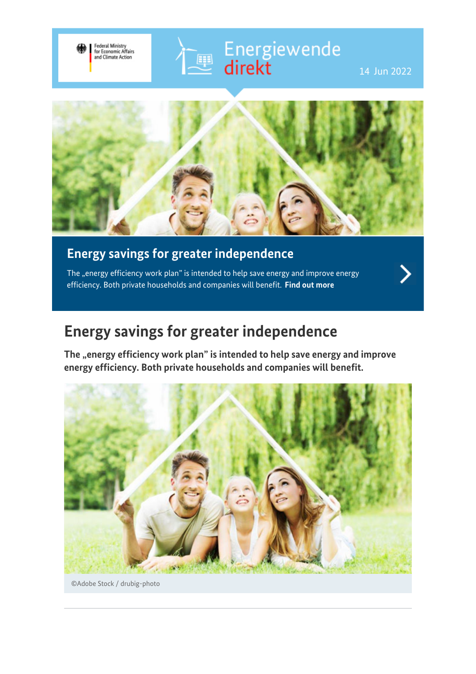



## **Energy savings for greater independence**

Federal Ministry<br>for Economic Affairs<br>and Climate Action

The "energy efficiency work plan" is intended to help save energy and improve energy efficiency. Both private households and companies will benefit. **[Find out more](https://www.bmwi-energiewende.de/EWD/Redaktion/EN/Newsletter/2022/05/Meldung/topthema.html)**

## **Energy savings for greater independence**

The "energy efficiency work plan" is intended to help save energy and improve **energy efficiency. Both private households and companies will benefit.**



©Adobe Stock / drubig-photo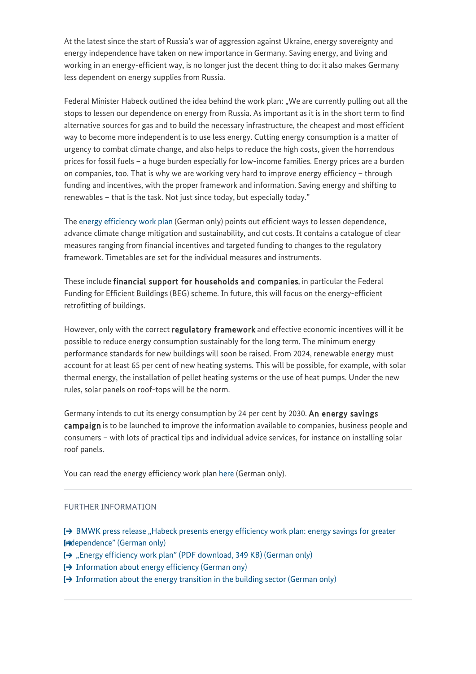At the latest since the start of Russia's war of aggression against Ukraine, energy sovereignty and energy independence have taken on new importance in Germany. Saving energy, and living and working in an energy-efficient way, is no longer just the decent thing to do: it also makes Germany less dependent on energy supplies from Russia.

Federal Minister Habeck outlined the idea behind the work plan: "We are currently pulling out all the stops to lessen our dependence on energy from Russia. As important as it is in the short term to find alternative sources for gas and to build the necessary infrastructure, the cheapest and most efficient way to become more independent is to use less energy. Cutting energy consumption is a matter of urgency to combat climate change, and also helps to reduce the high costs, given the horrendous prices for fossil fuels – a huge burden especially for low-income families. Energy prices are a burden on companies, too. That is why we are working very hard to improve energy efficiency – through funding and incentives, with the proper framework and information. Saving energy and shifting to renewables – that is the task. Not just since today, but especially today."

The [energy efficiency work plan](https://www.bmwk.de/Redaktion/DE/Downloads/Energie/20220517-arbeitsplan-energieeffizienz-energiesparen-fuer-mehr-unabhaengigkeit.pdf) (German only) points out efficient ways to lessen dependence, advance climate change mitigation and sustainability, and cut costs. It contains a catalogue of clear measures ranging from financial incentives and targeted funding to changes to the regulatory framework. Timetables are set for the individual measures and instruments.

These include financial support for households and companies, in particular the Federal Funding for Efficient Buildings (BEG) scheme. In future, this will focus on the energy-efficient retrofitting of buildings.

However, only with the correct regulatory framework and effective economic incentives will it be possible to reduce energy consumption sustainably for the long term. The minimum energy performance standards for new buildings will soon be raised. From 2024, renewable energy must account for at least 65 per cent of new heating systems. This will be possible, for example, with solar thermal energy, the installation of pellet heating systems or the use of heat pumps. Under the new rules, solar panels on roof-tops will be the norm.

Germany intends to cut its energy consumption by 24 per cent by 2030. An energy savings campaign is to be launched to improve the information available to companies, business people and consumers – with lots of practical tips and individual advice services, for instance on installing solar roof panels.

You can read the energy efficiency work plan [here](https://www.bmwk.de/Redaktion/DE/Downloads/Energie/20220517-arbeitsplan-energieeffizienz-energiesparen-fuer-mehr-unabhaengigkeit.pdf) (German only).

#### FURTHER INFORMATION

 $\rightarrow$  [BMWK press release "Habeck presents energy efficiency work plan: energy savings for greater](https://www.bmwk.de/Redaktion/DE/Pressemitteilungen/2022/05/20220517-habeck-legt-arbeitsplan-energieeffizienz-vor-energiesparen-fur-mehr-unabhangigkeit.html) [independence" \(German only\)](https://www.bmwk.de/Redaktion/DE/Pressemitteilungen/2022/05/20220517-habeck-legt-arbeitsplan-energieeffizienz-vor-energiesparen-fur-mehr-unabhangigkeit.html)

- [→ ["Energy efficiency work plan" \(PDF download, 349 KB\) \(German only\)](https://www.bmwk.de/Redaktion/DE/Downloads/Energie/20220517-arbeitsplan-energieeffizienz-energiesparen-fuer-mehr-unabhaengigkeit.pdf)
- $\rightarrow$  [Information about energy efficiency \(German ony\)](https://www.bmwk.de/Navigation/DE/Themen/themen.html?cl2Categories_LeadKeyword=energieeffizienz)
- [Information about the energy transition in the building sector \(German only\)](https://www.bmwk.de/Navigation/DE/Themen/themen.html?cl2Categories_LeadKeyword=energiewende-im-gebaeudebereich)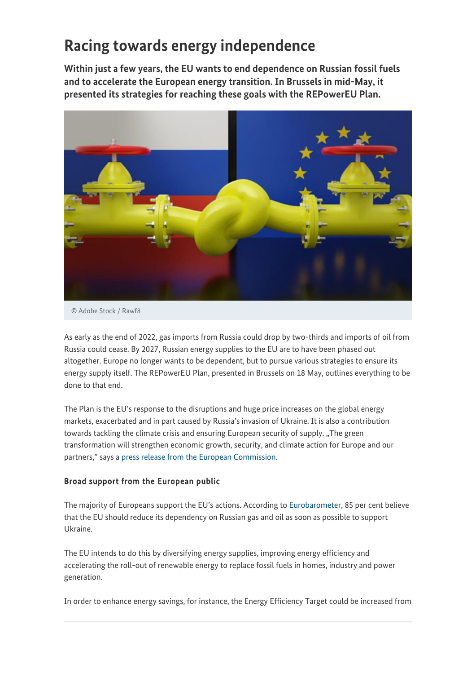# **Racing towards energy independence**

**Within just a few years, the EU wants to end dependence on Russian fossil fuels and to accelerate the European energy transition. In Brussels in mid-May, it presented its strategies for reaching these goals with the REPowerEU Plan.**



© Adobe Stock / Rawf8

As early as the end of 2022, gas imports from Russia could drop by two-thirds and imports of oil from Russia could cease. By 2027, Russian energy supplies to the EU are to have been phased out altogether. Europe no longer wants to be dependent, but to pursue various strategies to ensure its energy supply itself. The REPowerEU Plan, presented in Brussels on 18 May, outlines everything to be done to that end.

The Plan is the EU's response to the disruptions and huge price increases on the global energy markets, exacerbated and in part caused by Russia's invasion of Ukraine. It is also a contribution towards tackling the climate crisis and ensuring European security of supply. "The green transformation will strengthen economic growth, security, and climate action for Europe and our partners," says a [press release from the European Commission](https://ec.europa.eu/commission/presscorner/detail/en/IP_22_3131).

### Broad support from the European public

The majority of Europeans support the EU's actions. According to [Eurobarometer,](https://ec.europa.eu/commission/presscorner/detail/en/ip_22_2784) 85 per cent believe that the EU should reduce its dependency on Russian gas and oil as soon as possible to support Ukraine.

The EU intends to do this by diversifying energy supplies, improving energy efficiency and accelerating the roll-out of renewable energy to replace fossil fuels in homes, industry and power generation.

In order to enhance energy savings, for instance, the Energy Efficiency Target could be increased from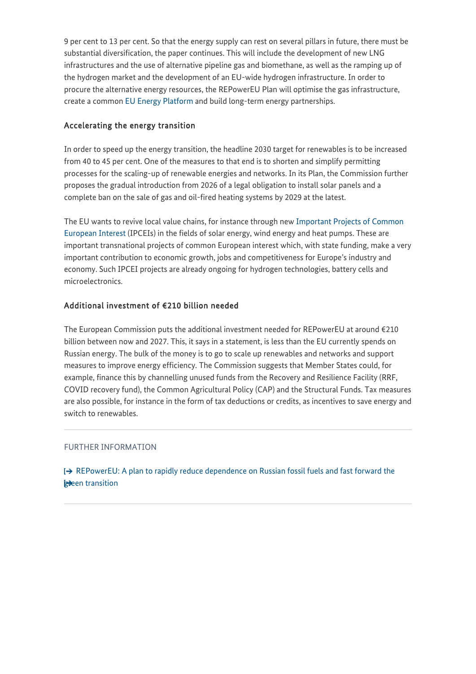9 per cent to 13 per cent. So that the energy supply can rest on several pillars in future, there must be substantial diversification, the paper continues. This will include the development of new LNG infrastructures and the use of alternative pipeline gas and biomethane, as well as the ramping up of the hydrogen market and the development of an EU-wide hydrogen infrastructure. In order to procure the alternative energy resources, the REPowerEU Plan will optimise the gas infrastructure, create a common [EU Energy Platform](https://ec.europa.eu/commission/presscorner/detail/en/IP_22_2387) and build long-term energy partnerships.

### Accelerating the energy transition

In order to speed up the energy transition, the headline 2030 target for renewables is to be increased from 40 to 45 per cent. One of the measures to that end is to shorten and simplify permitting processes for the scaling-up of renewable energies and networks. In its Plan, the Commission further proposes the gradual introduction from 2026 of a legal obligation to install solar panels and a complete ban on the sale of gas and oil-fired heating systems by 2029 at the latest.

The EU wants to revive local value chains, for instance through new [Important Projects of Common](https://www.bmwk.de/Redaktion/DE/FAQ/IPCEI/01-faq-ipcei.html) [European Interest](https://www.bmwk.de/Redaktion/DE/FAQ/IPCEI/01-faq-ipcei.html) (IPCEIs) in the fields of solar energy, wind energy and heat pumps. These are important transnational projects of common European interest which, with state funding, make a very important contribution to economic growth, jobs and competitiveness for Europe's industry and economy. Such IPCEI projects are already ongoing for hydrogen technologies, battery cells and microelectronics.

### Additional investment of €210 billion needed

The European Commission puts the additional investment needed for REPowerEU at around  $\epsilon$ 210 billion between now and 2027. This, it says in a statement, is less than the EU currently spends on Russian energy. The bulk of the money is to go to scale up renewables and networks and support measures to improve energy efficiency. The Commission suggests that Member States could, for example, finance this by channelling unused funds from the Recovery and Resilience Facility (RRF, COVID recovery fund), the Common Agricultural Policy (CAP) and the Structural Funds. Tax measures are also possible, for instance in the form of tax deductions or credits, as incentives to save energy and switch to renewables.

#### FURTHER INFORMATION

 $\rightarrow$  [REPowerEU: A plan to rapidly reduce dependence on Russian fossil fuels and fast forward the](https://ec.europa.eu/commission/presscorner/detail/en/IP_22_3131) **gieen** transition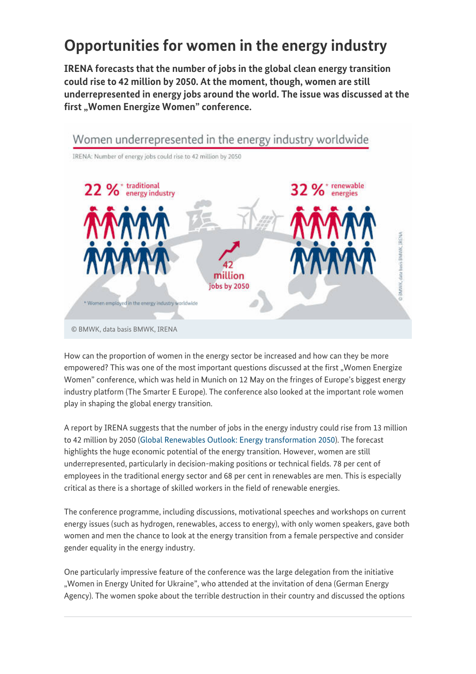# **Opportunities for women in the energy industry**

**IRENA forecasts that the number of jobs in the global clean energy transition could rise to 42 million by 2050. At the moment, though, women are still underrepresented in energy jobs around the world. The issue was discussed at the** first "Women Energize Women" conference.



How can the proportion of women in the energy sector be increased and how can they be more empowered? This was one of the most important questions discussed at the first "Women Energize Women" conference, which was held in Munich on 12 May on the fringes of Europe's biggest energy industry platform (The Smarter E Europe). The conference also looked at the important role women play in shaping the global energy transition.

A report by IRENA suggests that the number of jobs in the energy industry could rise from 13 million to 42 million by 2050 [\(Global Renewables Outlook: Energy transformation 2050](https://www.irena.org/publications/2020/Apr/Global-Renewables-Outlook-2020)). The forecast highlights the huge economic potential of the energy transition. However, women are still underrepresented, particularly in decision-making positions or technical fields. 78 per cent of employees in the traditional energy sector and 68 per cent in renewables are men. This is especially critical as there is a shortage of skilled workers in the field of renewable energies.

The conference programme, including discussions, motivational speeches and workshops on current energy issues (such as hydrogen, renewables, access to energy), with only women speakers, gave both women and men the chance to look at the energy transition from a female perspective and consider gender equality in the energy industry.

One particularly impressive feature of the conference was the large delegation from the initiative "Women in Energy United for Ukraine", who attended at the invitation of dena (German Energy Agency). The women spoke about the terrible destruction in their country and discussed the options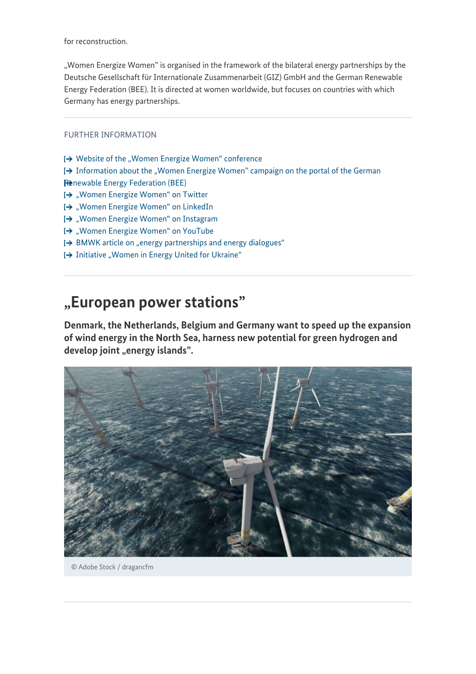for reconstruction.

"Women Energize Women" is organised in the framework of the bilateral energy partnerships by the Deutsche Gesellschaft für Internationale Zusammenarbeit (GIZ) GmbH and the German Renewable Energy Federation (BEE). It is directed at women worldwide, but focuses on countries with which Germany has energy partnerships.

FURTHER INFORMATION

- $\rightarrow$  [Website of the "Women Energize Women" conference](https://www.womenenergize.org/)
- $\rightarrow$  [Information about the "Women Energize Women" campaign on the portal of the German](https://www.bee-ev.de/english) [Renewable Energy Federation \(BEE\)](https://www.bee-ev.de/english)
- [→ ["Women Energize Women" on Twitter](https://twitter.com/womenenergize)
- I→ ["Women Energize Women" on LinkedIn](https://www.linkedin.com/company/womenenergize/)
- [→ ["Women Energize Women" on Instagram](https://www.instagram.com/womenenergize)
- [→ ["Women Energize Women" on YouTube](https://www.youtube.com/channel/UCAN8lIFUkvEoBp0Cki1ALwg/featured)
- [→ [BMWK article on "energy partnerships and energy dialogues"](https://www.bmwk.de/Redaktion/EN/Artikel/Energy/international-energy-policy-2.html)
- I→ [Initiative "Women in Energy United for Ukraine"](https://www.energypartnership-ukraine.org/tr/home/we-united-for-ukraine/)

## **"European power stations"**

**Denmark, the Netherlands, Belgium and Germany want to speed up the expansion of wind energy in the North Sea, harness new potential for green hydrogen and** develop joint "energy islands".



© Adobe Stock / dragancfm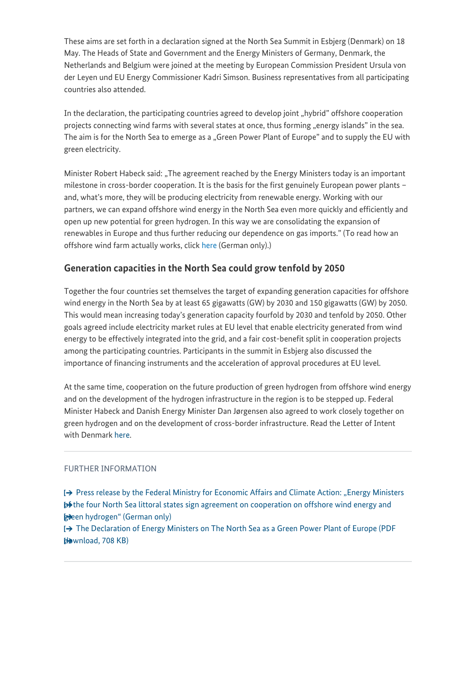These aims are set forth in a declaration signed at the North Sea Summit in Esbjerg (Denmark) on 18 May. The Heads of State and Government and the Energy Ministers of Germany, Denmark, the Netherlands and Belgium were joined at the meeting by European Commission President Ursula von der Leyen und EU Energy Commissioner Kadri Simson. Business representatives from all participating countries also attended.

In the declaration, the participating countries agreed to develop joint "hybrid" offshore cooperation projects connecting wind farms with several states at once, thus forming "energy islands" in the sea. The aim is for the North Sea to emerge as a "Green Power Plant of Europe" and to supply the EU with green electricity.

Minister Robert Habeck said: "The agreement reached by the Energy Ministers today is an important milestone in cross-border cooperation. It is the basis for the first genuinely European power plants – and, what's more, they will be producing electricity from renewable energy. Working with our partners, we can expand offshore wind energy in the North Sea even more quickly and efficiently and open up new potential for green hydrogen. In this way we are consolidating the expansion of renewables in Europe and thus further reducing our dependence on gas imports." (To read how an offshore wind farm actually works, click [here](https://www.bmwi-energiewende.de/EWD/Redaktion/EN/Newsletter/2022/05/Meldung/direkt-account.html) (German only).)

### **Generation capacities in the North Sea could grow tenfold by 2050**

Together the four countries set themselves the target of expanding generation capacities for offshore wind energy in the North Sea by at least 65 gigawatts (GW) by 2030 and 150 gigawatts (GW) by 2050. This would mean increasing today's generation capacity fourfold by 2030 and tenfold by 2050. Other goals agreed include electricity market rules at EU level that enable electricity generated from wind energy to be effectively integrated into the grid, and a fair cost-benefit split in cooperation projects among the participating countries. Participants in the summit in Esbjerg also discussed the importance of financing instruments and the acceleration of approval procedures at EU level.

At the same time, cooperation on the future production of green hydrogen from offshore wind energy and on the development of the hydrogen infrastructure in the region is to be stepped up. Federal Minister Habeck and Danish Energy Minister Dan Jørgensen also agreed to work closely together on green hydrogen and on the development of cross-border infrastructure. Read the Letter of Intent with Denmark [here](https://www.bmwk.de/Redaktion/DE/Downloads/J-L/letter-of-intent-dk-de-cooperation-on-green-hydrogen.html).

#### FURTHER INFORMATION

[→ [Press release by the Federal Ministry for Economic Affairs and Climate Action: "Energy Ministers](https://www.bmwk.de/Redaktion/DE/Pressemitteilungen/2022/05/20220518-energieminister-der-vier-nordseeanrainerstaaten-unterzeichnen-kooperation.html) **b**<sup>§</sup> the four North Sea littoral states sign agreement on cooperation on offshore wind energy and **green** hydrogen" (German only)

[→ [The Declaration of Energy Ministers on The North Sea as a Green Power Plant of Europe \(PDF](https://www.bmwk.de/Redaktion/DE/Downloads/Energie/20220518-declaration-of-energy-ministers.html)  $H$ wnload, 708 $KB)$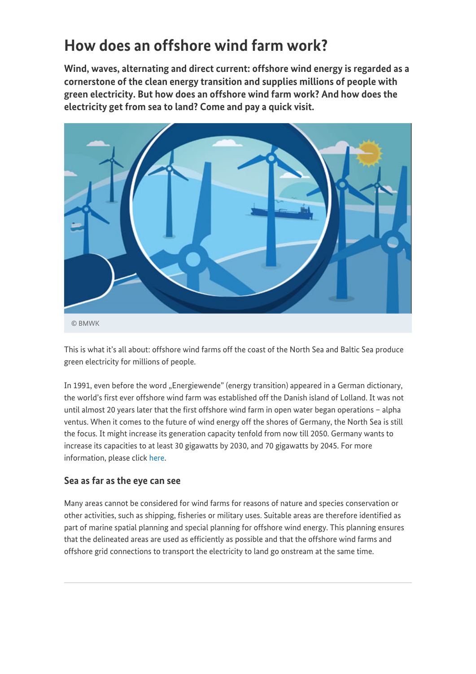# **How does an offshore wind farm work?**

**Wind, waves, alternating and direct current: offshore wind energy is regarded as a cornerstone of the clean energy transition and supplies millions of people with green electricity. But how does an offshore wind farm work? And how does the electricity get from sea to land? Come and pay a quick visit.**



This is what it's all about: offshore wind farms off the coast of the North Sea and Baltic Sea produce green electricity for millions of people.

In 1991, even before the word "Energiewende" (energy transition) appeared in a German dictionary, the world's first ever offshore wind farm was established off the Danish island of Lolland. It was not until almost 20 years later that the first offshore wind farm in open water began operations – alpha ventus. When it comes to the future of wind energy off the shores of Germany, the North Sea is still the focus. It might increase its generation capacity tenfold from now till 2050. Germany wants to increase its capacities to at least 30 gigawatts by 2030, and 70 gigawatts by 2045. For more information, please click [here.](https://www.bmwi-energiewende.de/EWD/Redaktion/EN/Newsletter/2022/05/Meldung/direkt-finds.html)

## **Sea as far as the eye can see**

Many areas cannot be considered for wind farms for reasons of nature and species conservation or other activities, such as shipping, fisheries or military uses. Suitable areas are therefore identified as part of marine spatial planning and special planning for offshore wind energy. This planning ensures that the delineated areas are used as efficiently as possible and that the offshore wind farms and offshore grid connections to transport the electricity to land go onstream at the same time.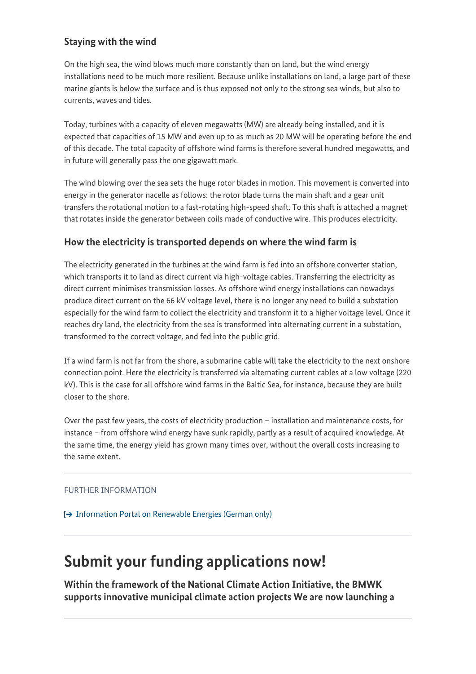## **Staying with the wind**

On the high sea, the wind blows much more constantly than on land, but the wind energy installations need to be much more resilient. Because unlike installations on land, a large part of these marine giants is below the surface and is thus exposed not only to the strong sea winds, but also to currents, waves and tides.

Today, turbines with a capacity of eleven megawatts (MW) are already being installed, and it is expected that capacities of 15 MW and even up to as much as 20 MW will be operating before the end of this decade. The total capacity of offshore wind farms is therefore several hundred megawatts, and in future will generally pass the one gigawatt mark.

The wind blowing over the sea sets the huge rotor blades in motion. This movement is converted into energy in the generator nacelle as follows: the rotor blade turns the main shaft and a gear unit transfers the rotational motion to a fast-rotating high-speed shaft. To this shaft is attached a magnet that rotates inside the generator between coils made of conductive wire. This produces electricity.

## **How the electricity is transported depends on where the wind farm is**

The electricity generated in the turbines at the wind farm is fed into an offshore converter station, which transports it to land as direct current via high-voltage cables. Transferring the electricity as direct current minimises transmission losses. As offshore wind energy installations can nowadays produce direct current on the 66 kV voltage level, there is no longer any need to build a substation especially for the wind farm to collect the electricity and transform it to a higher voltage level. Once it reaches dry land, the electricity from the sea is transformed into alternating current in a substation, transformed to the correct voltage, and fed into the public grid.

If a wind farm is not far from the shore, a submarine cable will take the electricity to the next onshore connection point. Here the electricity is transferred via alternating current cables at a low voltage (220 kV). This is the case for all offshore wind farms in the Baltic Sea, for instance, because they are built closer to the shore.

Over the past few years, the costs of electricity production – installation and maintenance costs, for instance – from offshore wind energy have sunk rapidly, partly as a result of acquired knowledge. At the same time, the energy yield has grown many times over, without the overall costs increasing to the same extent.

#### FURTHER INFORMATION

[Information Portal on Renewable Energies \(German only\)](https://www.erneuerbare-energien.de/EE/Navigation/DE/Technologien/Windenergie-auf-See/windenergie-auf-see.html)

## **Submit your funding applications now!**

**Within the framework of the National Climate Action Initiative, the BMWK supports innovative municipal climate action projects We are now launching a**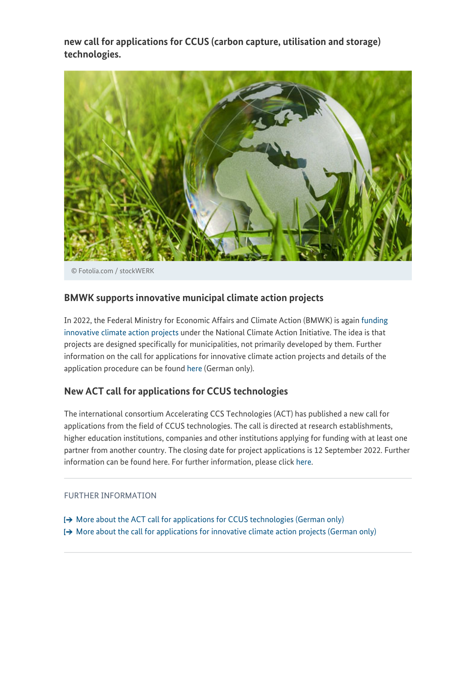**new call for applications for CCUS (carbon capture, utilisation and storage) technologies.**



© Fotolia.com / stockWERK

### **BMWK supports innovative municipal climate action projects**

In 2022, the Federal Ministry for Economic Affairs and Climate Action (BMWK) is again [funding](https://www.bmwk.de/Redaktion/DE/Pressemitteilungen/2022/05/20220510-bmwk-fordert-innovative-projekte-im-kommunalen-klimaschutz.html) [innovative climate action projects](https://www.bmwk.de/Redaktion/DE/Pressemitteilungen/2022/05/20220510-bmwk-fordert-innovative-projekte-im-kommunalen-klimaschutz.html) under the National Climate Action Initiative. The idea is that projects are designed specifically for municipalities, not primarily developed by them. Further information on the call for applications for innovative climate action projects and details of the application procedure can be found [here](https://www.klimaschutz.de/de/foerderung/foerderprogramme/innovative-klimaschutzprojekte) (German only).

### **New ACT call for applications for CCUS technologies**

The international consortium Accelerating CCS Technologies (ACT) has published a new call for applications from the field of CCUS technologies. The call is directed at research establishments, higher education institutions, companies and other institutions applying for funding with at least one partner from another country. The closing date for project applications is 12 September 2022. Further information can be found here. For further information, please click [here](https://www.industrie-energieforschung.de/news/de/foerderaufruf_act_internationale_forschungspartnerschaften_ccus_technologien).

#### FURTHER INFORMATION

[More about the ACT call for applications for CCUS technologies \(German only\)](https://www.industrie-energieforschung.de/news/de/foerderaufruf_act_internationale_forschungspartnerschaften_ccus_technologien)  $\rightarrow$  [More about the call for applications for innovative climate action projects \(German only\)](https://www.klimaschutz.de/de/foerderung/foerderprogramme/innovative-klimaschutzprojekte)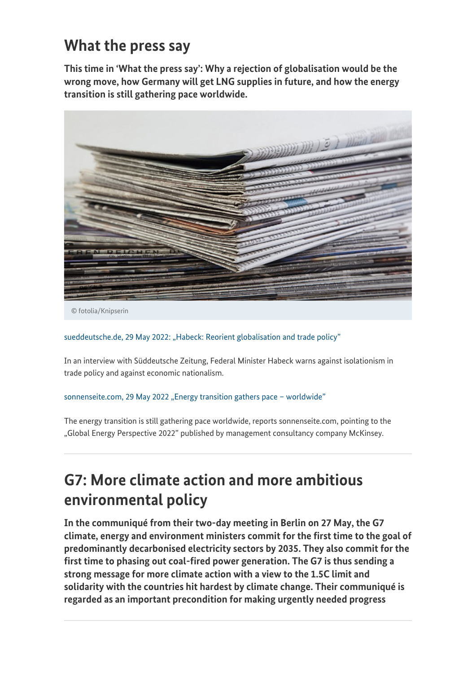## **What the press say**

**This time in 'What the press say': Why a rejection of globalisation would be the wrong move, how Germany will get LNG supplies in future, and how the energy transition is still gathering pace worldwide.**



© fotolia/Knipserin

#### [sueddeutsche.de, 29 May 2022: "Habeck: Reorient globalisation and trade policy"](https://www.sueddeutsche.de/service/messen-habeck-globalisierung-und-handelspolitik-neu-ausrichten-dpa.urn-newsml-dpa-com-20090101-220529-99-472793)

In an interview with Süddeutsche Zeitung, Federal Minister Habeck warns against isolationism in trade policy and against economic nationalism.

#### sonnenseite.com, 29 May 2022 "Energy transition gathers pace - worldwide"

The energy transition is still gathering pace worldwide, reports sonnenseite.com, pointing to the "Global Energy Perspective 2022" published by management consultancy company McKinsey.

# **G7: More climate action and more ambitious environmental policy**

**In the communiqué from their two-day meeting in Berlin on 27 May, the G7 climate, energy and environment ministers commit for the first time to the goal of predominantly decarbonised electricity sectors by 2035. They also commit for the first time to phasing out coal-fired power generation. The G7 is thus sending a strong message for more climate action with a view to the 1.5C limit and solidarity with the countries hit hardest by climate change. Their communiqué is regarded as an important precondition for making urgently needed progress**